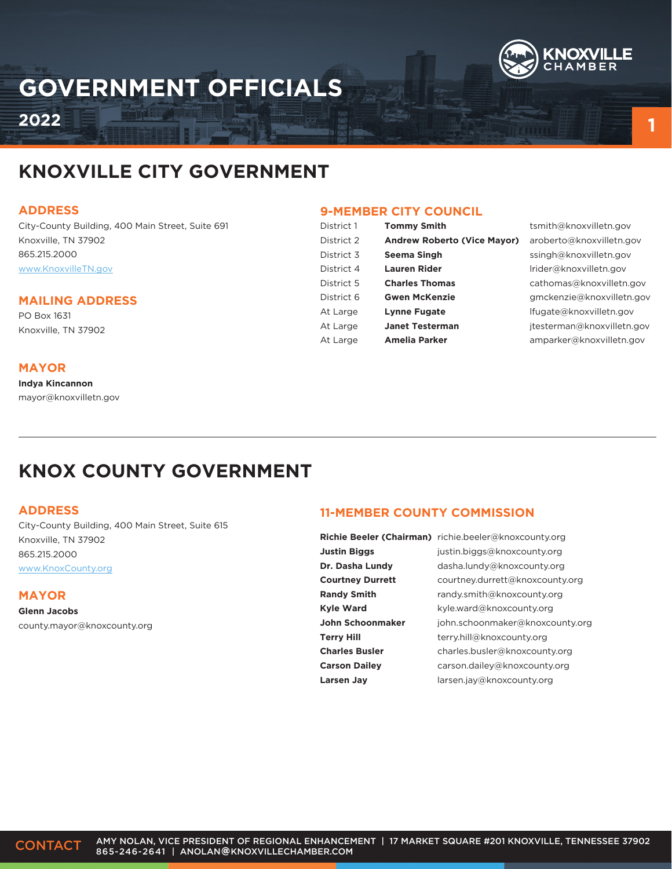

# **GOVERNMENT OFFICIALS**

**2022**

## **KNOXVILLE CITY GOVERNMENT**

#### **ADDRESS**

City-County Building, 400 Main Street, Suite 691 Knoxville, TN 37902 865.215.2000 www.KnoxvilleTN.gov

### **MAILING ADDRESS**

PO Box 1631 Knoxville, TN 37902

### **MAYOR**

**Indya Kincannon**  mayor@knoxvilletn.gov

### **9-MEMBER CITY COUNCIL**

| District 1 | <b>Tommy Smith</b>                 |
|------------|------------------------------------|
| District 2 | <b>Andrew Roberto (Vice Mayor)</b> |
| District 3 | Seema Singh                        |
| District 4 | Lauren Rider                       |
| District 5 | <b>Charles Thomas</b>              |
| District 6 | <b>Gwen McKenzie</b>               |
| At Large   | <b>Lynne Fugate</b>                |
| At Large   | <b>Janet Testerman</b>             |
| At Large   | <b>Amelia Parker</b>               |
|            |                                    |

tsmith@knoxvilletn.gov aroberto@knoxvilletn.gov ssingh@knoxvilletn.gov lrider@knoxvilletn.gov cathomas@knoxvilletn.gov gmckenzie@knoxvilletn.gov lfugate@knoxvilletn.gov jtesterman@knoxvilletn.gov amparker@knoxvilletn.gov

**1**

## **KNOX COUNTY GOVERNMENT**

### **ADDRESS**

City-County Building, 400 Main Street, Suite 615 Knoxville, TN 37902 865.215.2000 www.KnoxCounty.org

### **MAYOR**

**Glenn Jacobs** county.mayor@knoxcounty.org

### **11-MEMBER COUNTY COMMISSION**

**Justin Biggs Dr. Dasha Lundy Courtney Durrett Randy Smith Kyle Ward John Schoonmaker Terry Hill Charles Busler Carson Dailey Larsen Jay**

**Richie Beeler (Chairman)** richie.beeler@knoxcounty.org justin.biggs@knoxcounty.org dasha.lundy@knoxcounty.org courtney.durrett@knoxcounty.org randy.smith@knoxcounty.org kyle.ward@knoxcounty.org john.schoonmaker@knoxcounty.org terry.hill@knoxcounty.org charles.busler@knoxcounty.org carson.dailey@knoxcounty.org larsen.jay@knoxcounty.org